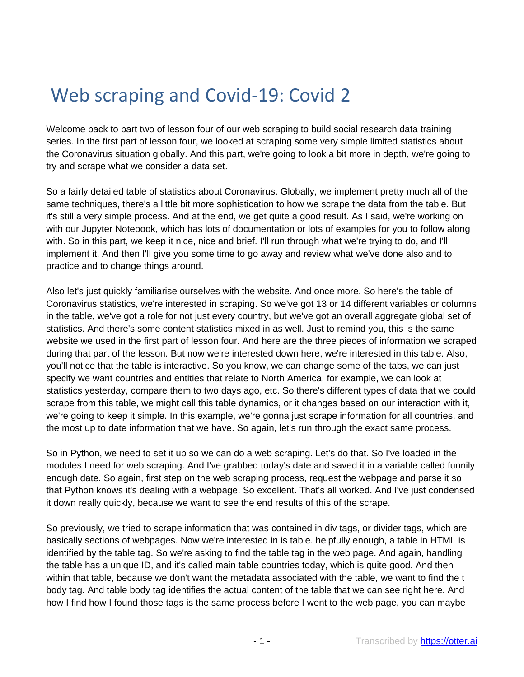## Web scraping and Covid-19: Covid 2

Welcome back to part two of lesson four of our web scraping to build social research data training series. In the first part of lesson four, we looked at scraping some very simple limited statistics about the Coronavirus situation globally. And this part, we're going to look a bit more in depth, we're going to try and scrape what we consider a data set.

So a fairly detailed table of statistics about Coronavirus. Globally, we implement pretty much all of the same techniques, there's a little bit more sophistication to how we scrape the data from the table. But it's still a very simple process. And at the end, we get quite a good result. As I said, we're working on with our Jupyter Notebook, which has lots of documentation or lots of examples for you to follow along with. So in this part, we keep it nice, nice and brief. I'll run through what we're trying to do, and I'll implement it. And then I'll give you some time to go away and review what we've done also and to practice and to change things around.

Also let's just quickly familiarise ourselves with the website. And once more. So here's the table of Coronavirus statistics, we're interested in scraping. So we've got 13 or 14 different variables or columns in the table, we've got a role for not just every country, but we've got an overall aggregate global set of statistics. And there's some content statistics mixed in as well. Just to remind you, this is the same website we used in the first part of lesson four. And here are the three pieces of information we scraped during that part of the lesson. But now we're interested down here, we're interested in this table. Also, you'll notice that the table is interactive. So you know, we can change some of the tabs, we can just specify we want countries and entities that relate to North America, for example, we can look at statistics yesterday, compare them to two days ago, etc. So there's different types of data that we could scrape from this table, we might call this table dynamics, or it changes based on our interaction with it, we're going to keep it simple. In this example, we're gonna just scrape information for all countries, and the most up to date information that we have. So again, let's run through the exact same process.

So in Python, we need to set it up so we can do a web scraping. Let's do that. So I've loaded in the modules I need for web scraping. And I've grabbed today's date and saved it in a variable called funnily enough date. So again, first step on the web scraping process, request the webpage and parse it so that Python knows it's dealing with a webpage. So excellent. That's all worked. And I've just condensed it down really quickly, because we want to see the end results of this of the scrape.

So previously, we tried to scrape information that was contained in div tags, or divider tags, which are basically sections of webpages. Now we're interested in is table. helpfully enough, a table in HTML is identified by the table tag. So we're asking to find the table tag in the web page. And again, handling the table has a unique ID, and it's called main table countries today, which is quite good. And then within that table, because we don't want the metadata associated with the table, we want to find the t body tag. And table body tag identifies the actual content of the table that we can see right here. And how I find how I found those tags is the same process before I went to the web page, you can maybe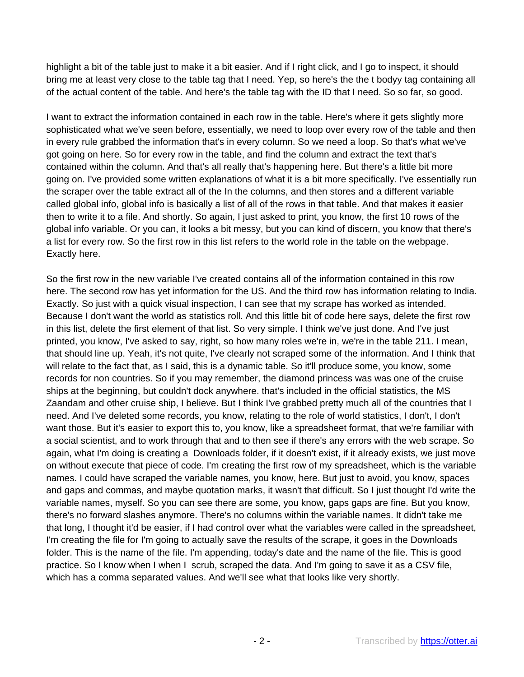highlight a bit of the table just to make it a bit easier. And if I right click, and I go to inspect, it should bring me at least very close to the table tag that I need. Yep, so here's the the t bodyy tag containing all of the actual content of the table. And here's the table tag with the ID that I need. So so far, so good.

I want to extract the information contained in each row in the table. Here's where it gets slightly more sophisticated what we've seen before, essentially, we need to loop over every row of the table and then in every rule grabbed the information that's in every column. So we need a loop. So that's what we've got going on here. So for every row in the table, and find the column and extract the text that's contained within the column. And that's all really that's happening here. But there's a little bit more going on. I've provided some written explanations of what it is a bit more specifically. I've essentially run the scraper over the table extract all of the In the columns, and then stores and a different variable called global info, global info is basically a list of all of the rows in that table. And that makes it easier then to write it to a file. And shortly. So again, I just asked to print, you know, the first 10 rows of the global info variable. Or you can, it looks a bit messy, but you can kind of discern, you know that there's a list for every row. So the first row in this list refers to the world role in the table on the webpage. Exactly here.

So the first row in the new variable I've created contains all of the information contained in this row here. The second row has yet information for the US. And the third row has information relating to India. Exactly. So just with a quick visual inspection, I can see that my scrape has worked as intended. Because I don't want the world as statistics roll. And this little bit of code here says, delete the first row in this list, delete the first element of that list. So very simple. I think we've just done. And I've just printed, you know, I've asked to say, right, so how many roles we're in, we're in the table 211. I mean, that should line up. Yeah, it's not quite, I've clearly not scraped some of the information. And I think that will relate to the fact that, as I said, this is a dynamic table. So it'll produce some, you know, some records for non countries. So if you may remember, the diamond princess was was one of the cruise ships at the beginning, but couldn't dock anywhere. that's included in the official statistics, the MS Zaandam and other cruise ship, I believe. But I think I've grabbed pretty much all of the countries that I need. And I've deleted some records, you know, relating to the role of world statistics, I don't, I don't want those. But it's easier to export this to, you know, like a spreadsheet format, that we're familiar with a social scientist, and to work through that and to then see if there's any errors with the web scrape. So again, what I'm doing is creating a Downloads folder, if it doesn't exist, if it already exists, we just move on without execute that piece of code. I'm creating the first row of my spreadsheet, which is the variable names. I could have scraped the variable names, you know, here. But just to avoid, you know, spaces and gaps and commas, and maybe quotation marks, it wasn't that difficult. So I just thought I'd write the variable names, myself. So you can see there are some, you know, gaps gaps are fine. But you know, there's no forward slashes anymore. There's no columns within the variable names. It didn't take me that long, I thought it'd be easier, if I had control over what the variables were called in the spreadsheet, I'm creating the file for I'm going to actually save the results of the scrape, it goes in the Downloads folder. This is the name of the file. I'm appending, today's date and the name of the file. This is good practice. So I know when I when I scrub, scraped the data. And I'm going to save it as a CSV file, which has a comma separated values. And we'll see what that looks like very shortly.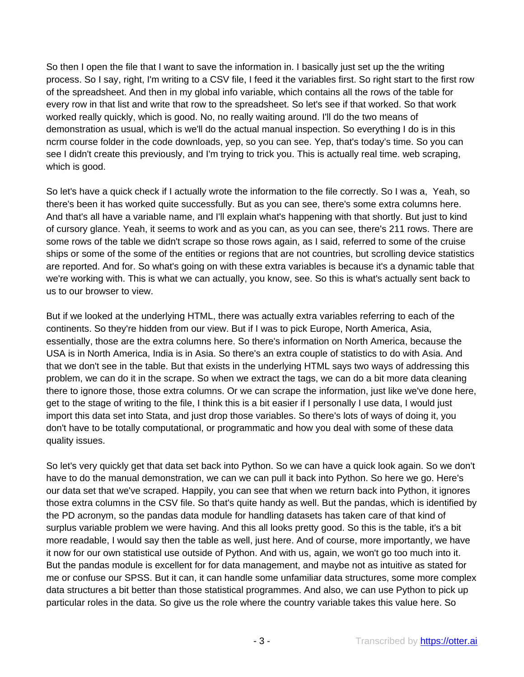So then I open the file that I want to save the information in. I basically just set up the the writing process. So I say, right, I'm writing to a CSV file, I feed it the variables first. So right start to the first row of the spreadsheet. And then in my global info variable, which contains all the rows of the table for every row in that list and write that row to the spreadsheet. So let's see if that worked. So that work worked really quickly, which is good. No, no really waiting around. I'll do the two means of demonstration as usual, which is we'll do the actual manual inspection. So everything I do is in this ncrm course folder in the code downloads, yep, so you can see. Yep, that's today's time. So you can see I didn't create this previously, and I'm trying to trick you. This is actually real time. web scraping, which is good.

So let's have a quick check if I actually wrote the information to the file correctly. So I was a, Yeah, so there's been it has worked quite successfully. But as you can see, there's some extra columns here. And that's all have a variable name, and I'll explain what's happening with that shortly. But just to kind of cursory glance. Yeah, it seems to work and as you can, as you can see, there's 211 rows. There are some rows of the table we didn't scrape so those rows again, as I said, referred to some of the cruise ships or some of the some of the entities or regions that are not countries, but scrolling device statistics are reported. And for. So what's going on with these extra variables is because it's a dynamic table that we're working with. This is what we can actually, you know, see. So this is what's actually sent back to us to our browser to view.

But if we looked at the underlying HTML, there was actually extra variables referring to each of the continents. So they're hidden from our view. But if I was to pick Europe, North America, Asia, essentially, those are the extra columns here. So there's information on North America, because the USA is in North America, India is in Asia. So there's an extra couple of statistics to do with Asia. And that we don't see in the table. But that exists in the underlying HTML says two ways of addressing this problem, we can do it in the scrape. So when we extract the tags, we can do a bit more data cleaning there to ignore those, those extra columns. Or we can scrape the information, just like we've done here, get to the stage of writing to the file, I think this is a bit easier if I personally I use data, I would just import this data set into Stata, and just drop those variables. So there's lots of ways of doing it, you don't have to be totally computational, or programmatic and how you deal with some of these data quality issues.

So let's very quickly get that data set back into Python. So we can have a quick look again. So we don't have to do the manual demonstration, we can we can pull it back into Python. So here we go. Here's our data set that we've scraped. Happily, you can see that when we return back into Python, it ignores those extra columns in the CSV file. So that's quite handy as well. But the pandas, which is identified by the PD acronym, so the pandas data module for handling datasets has taken care of that kind of surplus variable problem we were having. And this all looks pretty good. So this is the table, it's a bit more readable, I would say then the table as well, just here. And of course, more importantly, we have it now for our own statistical use outside of Python. And with us, again, we won't go too much into it. But the pandas module is excellent for for data management, and maybe not as intuitive as stated for me or confuse our SPSS. But it can, it can handle some unfamiliar data structures, some more complex data structures a bit better than those statistical programmes. And also, we can use Python to pick up particular roles in the data. So give us the role where the country variable takes this value here. So